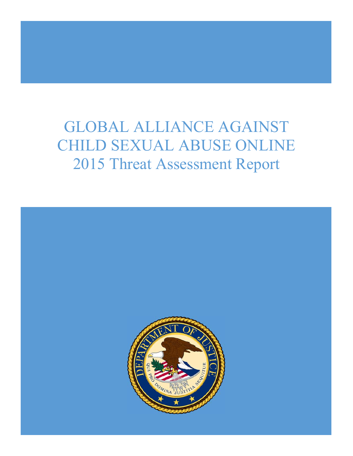# GLOBAL ALLIANCE AGAINST CHILD SEXUAL ABUSE ONLINE 2015 Threat Assessment Report

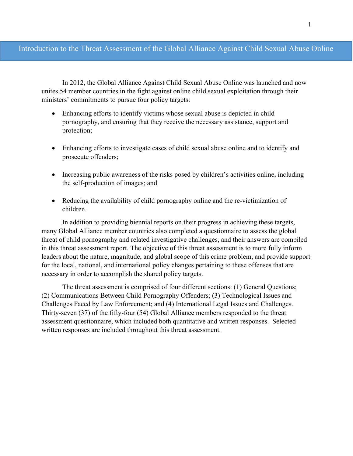## Introduction to the Threat Assessment of the Global Alliance Against Child Sexual Abuse Online

In 2012, the Global Alliance Against Child Sexual Abuse Online was launched and now unites 54 member countries in the fight against online child sexual exploitation through their ministers' commitments to pursue four policy targets:

- Enhancing efforts to identify victims whose sexual abuse is depicted in child pornography, and ensuring that they receive the necessary assistance, support and protection;
- Enhancing efforts to investigate cases of child sexual abuse online and to identify and prosecute offenders;
- Increasing public awareness of the risks posed by children's activities online, including the self-production of images; and
- Reducing the availability of child pornography online and the re-victimization of children.

In addition to providing biennial reports on their progress in achieving these targets, many Global Alliance member countries also completed a questionnaire to assess the global threat of child pornography and related investigative challenges, and their answers are compiled in this threat assessment report. The objective of this threat assessment is to more fully inform leaders about the nature, magnitude, and global scope of this crime problem, and provide support for the local, national, and international policy changes pertaining to these offenses that are necessary in order to accomplish the shared policy targets.

The threat assessment is comprised of four different sections: (1) General Questions; (2) Communications Between Child Pornography Offenders; (3) Technological Issues and Challenges Faced by Law Enforcement; and (4) International Legal Issues and Challenges. Thirty-seven (37) of the fifty-four (54) Global Alliance members responded to the threat assessment questionnaire, which included both quantitative and written responses. Selected written responses are included throughout this threat assessment.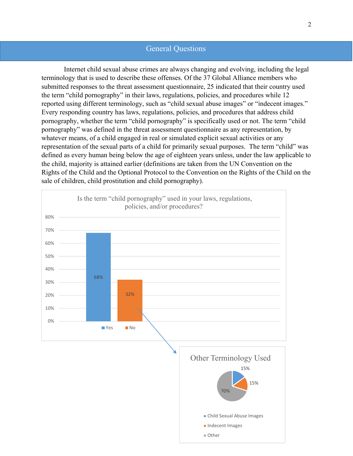## General Questions

 Internet child sexual abuse crimes are always changing and evolving, including the legal terminology that is used to describe these offenses. Of the 37 Global Alliance members who submitted responses to the threat assessment questionnaire, 25 indicated that their country used the term "child pornography" in their laws, regulations, policies, and procedures while 12 reported using different terminology, such as "child sexual abuse images" or "indecent images." Every responding country has laws, regulations, policies, and procedures that address child pornography, whether the term "child pornography" is specifically used or not. The term "child pornography" was defined in the threat assessment questionnaire as any representation, by whatever means, of a child engaged in real or simulated explicit sexual activities or any representation of the sexual parts of a child for primarily sexual purposes. The term "child" was defined as every human being below the age of eighteen years unless, under the law applicable to the child, majority is attained earlier (definitions are taken from the UN Convention on the Rights of the Child and the Optional Protocol to the Convention on the Rights of the Child on the sale of children, child prostitution and child pornography).

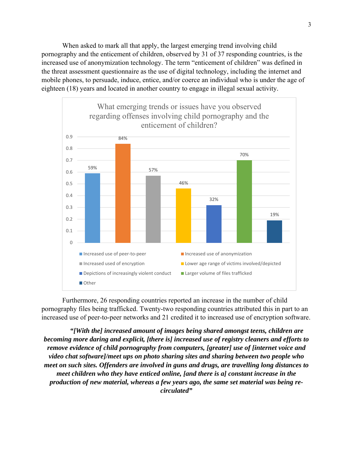When asked to mark all that apply, the largest emerging trend involving child pornography and the enticement of children, observed by 31 of 37 responding countries, is the increased use of anonymization technology. The term "enticement of children" was defined in the threat assessment questionnaire as the use of digital technology, including the internet and mobile phones, to persuade, induce, entice, and/or coerce an individual who is under the age of eighteen (18) years and located in another country to engage in illegal sexual activity.



Furthermore, 26 responding countries reported an increase in the number of child pornography files being trafficked. Twenty-two responding countries attributed this in part to an increased use of peer-to-peer networks and 21 credited it to increased use of encryption software.

*"[With the] increased amount of images being shared amongst teens, children are becoming more daring and explicit, [there is] increased use of registry cleaners and efforts to remove evidence of child pornography from computers, [greater] use of [internet voice and video chat software]/meet ups on photo sharing sites and sharing between two people who meet on such sites. Offenders are involved in guns and drugs, are travelling long distances to meet children who they have enticed online, [and there is a] constant increase in the production of new material, whereas a few years ago, the same set material was being recirculated"*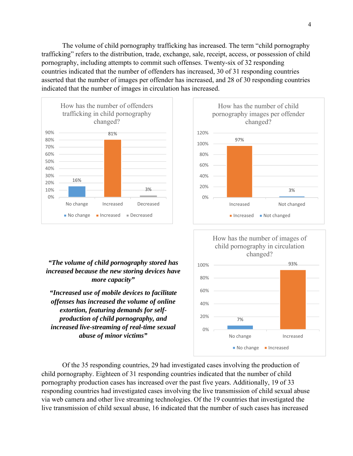The volume of child pornography trafficking has increased. The term "child pornography trafficking" refers to the distribution, trade, exchange, sale, receipt, access, or possession of child pornography, including attempts to commit such offenses. Twenty-six of 32 responding countries indicated that the number of offenders has increased, 30 of 31 responding countries asserted that the number of images per offender has increased, and 28 of 30 responding countries indicated that the number of images in circulation has increased.



#### *"The volume of child pornography stored has increased because the new storing devices have more capacity"*

*"Increased use of mobile devices to facilitate offenses has increased the volume of online extortion, featuring demands for selfproduction of child pornography, and increased live-streaming of real-time sexual abuse of minor victims"* 





 Of the 35 responding countries, 29 had investigated cases involving the production of child pornography. Eighteen of 31 responding countries indicated that the number of child pornography production cases has increased over the past five years. Additionally, 19 of 33 responding countries had investigated cases involving the live transmission of child sexual abuse via web camera and other live streaming technologies. Of the 19 countries that investigated the live transmission of child sexual abuse, 16 indicated that the number of such cases has increased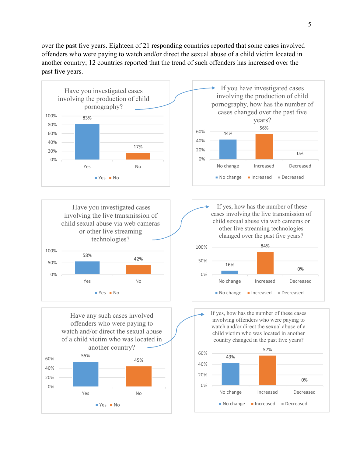over the past five years. Eighteen of 21 responding countries reported that some cases involved offenders who were paying to watch and/or direct the sexual abuse of a child victim located in another country; 12 countries reported that the trend of such offenders has increased over the past five years.

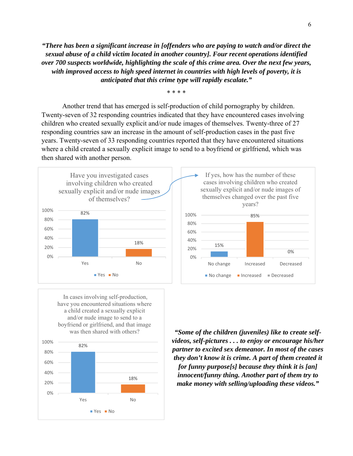*"There has been a significant increase in [offenders who are paying to watch and/or direct the sexual abuse of a child victim located in another country]. Four recent operations identified over 700 suspects worldwide, highlighting the scale of this crime area. Over the next few years, with improved access to high speed internet in countries with high levels of poverty, it is anticipated that this crime type will rapidly escalate."* 

\* \* \* \*

Another trend that has emerged is self-production of child pornography by children. Twenty-seven of 32 responding countries indicated that they have encountered cases involving children who created sexually explicit and/or nude images of themselves. Twenty-three of 27 responding countries saw an increase in the amount of self-production cases in the past five years. Twenty-seven of 33 responding countries reported that they have encountered situations where a child created a sexually explicit image to send to a boyfriend or girlfriend, which was then shared with another person.



In cases involving self-production, have you encountered situations where a child created a sexually explicit and/or nude image to send to a boyfriend or girlfriend, and that image was then shared with others?



*"Some of the children (juveniles) like to create selfvideos, self-pictures . . . to enjoy or encourage his/her partner to excited sex demeanor. In most of the cases they don't know it is crime. A part of them created it for funny purpose[s] because they think it is [an] innocent/funny thing. Another part of them try to make money with selling/uploading these videos."* 

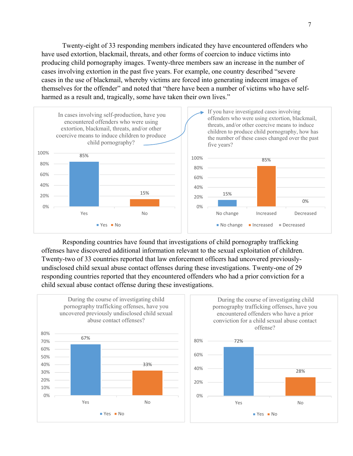Twenty-eight of 33 responding members indicated they have encountered offenders who have used extortion, blackmail, threats, and other forms of coercion to induce victims into producing child pornography images. Twenty-three members saw an increase in the number of cases involving extortion in the past five years. For example, one country described "severe cases in the use of blackmail, whereby victims are forced into generating indecent images of themselves for the offender" and noted that "there have been a number of victims who have selfharmed as a result and, tragically, some have taken their own lives."



Responding countries have found that investigations of child pornography trafficking offenses have discovered additional information relevant to the sexual exploitation of children. Twenty-two of 33 countries reported that law enforcement officers had uncovered previouslyundisclosed child sexual abuse contact offenses during these investigations. Twenty-one of 29 responding countries reported that they encountered offenders who had a prior conviction for a child sexual abuse contact offense during these investigations.

0%





Yes No

 $Yes = No$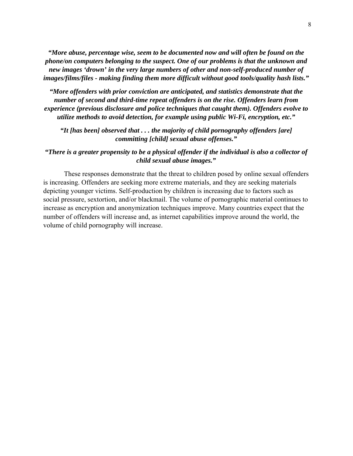*"More abuse, percentage wise, seem to be documented now and will often be found on the phone/on computers belonging to the suspect. One of our problems is that the unknown and new images 'drown' in the very large numbers of other and non-self-produced number of images/films/files - making finding them more difficult without good tools/quality hash lists."* 

*"More offenders with prior conviction are anticipated, and statistics demonstrate that the number of second and third-time repeat offenders is on the rise. Offenders learn from experience (previous disclosure and police techniques that caught them). Offenders evolve to utilize methods to avoid detection, for example using public Wi-Fi, encryption, etc."* 

*"It [has been] observed that . . . the majority of child pornography offenders [are] committing [child] sexual abuse offenses."* 

*"There is a greater propensity to be a physical offender if the individual is also a collector of child sexual abuse images."* 

These responses demonstrate that the threat to children posed by online sexual offenders is increasing. Offenders are seeking more extreme materials, and they are seeking materials depicting younger victims. Self-production by children is increasing due to factors such as social pressure, sextortion, and/or blackmail. The volume of pornographic material continues to increase as encryption and anonymization techniques improve. Many countries expect that the number of offenders will increase and, as internet capabilities improve around the world, the volume of child pornography will increase.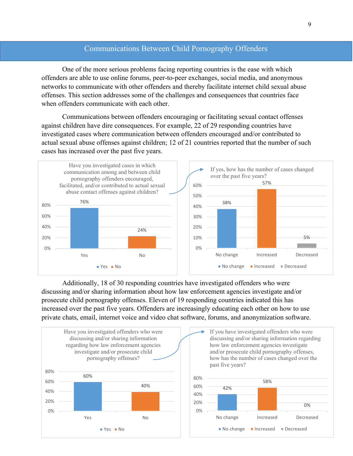## Communications Between Child Pornography Offenders

 One of the more serious problems facing reporting countries is the ease with which offenders are able to use online forums, peer-to-peer exchanges, social media, and anonymous networks to communicate with other offenders and thereby facilitate internet child sexual abuse offenses. This section addresses some of the challenges and consequences that countries face when offenders communicate with each other.

Communications between offenders encouraging or facilitating sexual contact offenses against children have dire consequences. For example, 22 of 29 responding countries have investigated cases where communication between offenders encouraged and/or contributed to actual sexual abuse offenses against children; 12 of 21 countries reported that the number of such cases has increased over the past five years.



Additionally, 18 of 30 responding countries have investigated offenders who were discussing and/or sharing information about how law enforcement agencies investigate and/or prosecute child pornography offenses. Eleven of 19 responding countries indicated this has increased over the past five years. Offenders are increasingly educating each other on how to use private chats, email, internet voice and video chat software, forums, and anonymization software.

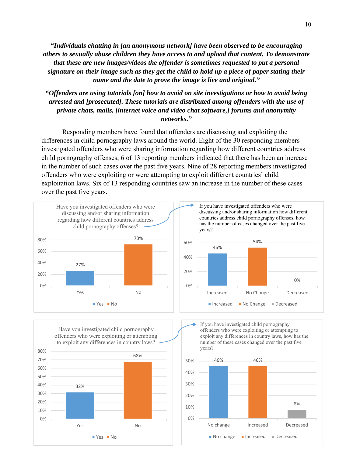*"Individuals chatting in [an anonymous network] have been observed to be encouraging others to sexually abuse children they have access to and upload that content. To demonstrate that these are new images/videos the offender is sometimes requested to put a personal signature on their image such as they get the child to hold up a piece of paper stating their name and the date to prove the image is live and original."*

*"Offenders are using tutorials [on] how to avoid on site investigations or how to avoid being arrested and [prosecuted]. These tutorials are distributed among offenders with the use of private chats, mails, [internet voice and video chat software,] forums and anonymity networks."* 

Responding members have found that offenders are discussing and exploiting the differences in child pornography laws around the world. Eight of the 30 responding members investigated offenders who were sharing information regarding how different countries address child pornography offenses; 6 of 13 reporting members indicated that there has been an increase in the number of such cases over the past five years. Nine of 28 reporting members investigated offenders who were exploiting or were attempting to exploit different countries' child exploitation laws. Six of 13 responding countries saw an increase in the number of these cases over the past five years.





offenders who were exploiting or attempting to exploit any differences in country laws, how has the number of these cases changed over the past five years?

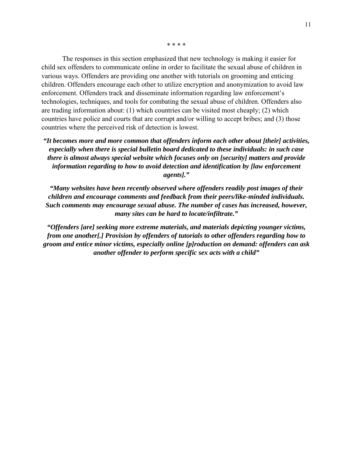\* \* \* \*

The responses in this section emphasized that new technology is making it easier for child sex offenders to communicate online in order to facilitate the sexual abuse of children in various ways. Offenders are providing one another with tutorials on grooming and enticing children. Offenders encourage each other to utilize encryption and anonymization to avoid law enforcement. Offenders track and disseminate information regarding law enforcement's technologies, techniques, and tools for combating the sexual abuse of children. Offenders also are trading information about: (1) which countries can be visited most cheaply; (2) which countries have police and courts that are corrupt and/or willing to accept bribes; and (3) those countries where the perceived risk of detection is lowest.

*"It becomes more and more common that offenders inform each other about [their] activities, especially when there is special bulletin board dedicated to these individuals: in such case there is almost always special website which focuses only on [security] matters and provide information regarding to how to avoid detection and identification by [law enforcement agents]."* 

*"Many websites have been recently observed where offenders readily post images of their children and encourage comments and feedback from their peers/like-minded individuals. Such comments may encourage sexual abuse. The number of cases has increased, however, many sites can be hard to locate/infiltrate."* 

*"Offenders [are] seeking more extreme materials, and materials depicting younger victims, from one another[.] Provision by offenders of tutorials to other offenders regarding how to groom and entice minor victims, especially online [p]roduction on demand: offenders can ask another offender to perform specific sex acts with a child"*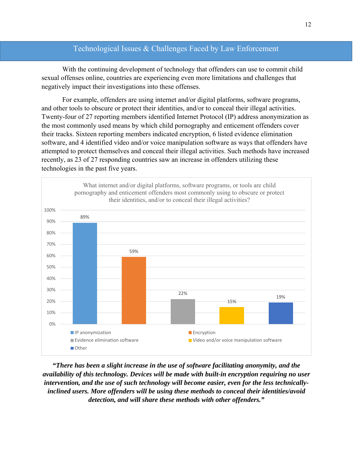## Technological Issues & Challenges Faced by Law Enforcement

 With the continuing development of technology that offenders can use to commit child sexual offenses online, countries are experiencing even more limitations and challenges that negatively impact their investigations into these offenses.

 For example, offenders are using internet and/or digital platforms, software programs, and other tools to obscure or protect their identities, and/or to conceal their illegal activities. Twenty-four of 27 reporting members identified Internet Protocol (IP) address anonymization as the most commonly used means by which child pornography and enticement offenders cover their tracks. Sixteen reporting members indicated encryption, 6 listed evidence elimination software, and 4 identified video and/or voice manipulation software as ways that offenders have attempted to protect themselves and conceal their illegal activities. Such methods have increased recently, as 23 of 27 responding countries saw an increase in offenders utilizing these technologies in the past five years.



*"There has been a slight increase in the use of software facilitating anonymity, and the availability of this technology. Devices will be made with built-in encryption requiring no user intervention, and the use of such technology will become easier, even for the less technicallyinclined users. More offenders will be using these methods to conceal their identities/avoid detection, and will share these methods with other offenders."*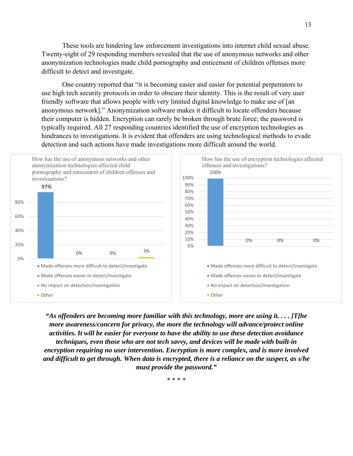These tools are hindering law enforcement investigations into internet child sexual abuse. Twenty-eight of 29 responding members revealed that the use of anonymous networks and other anonymization technologies made child pornography and enticement of children offenses more difficult to detect and investigate.

 One country reported that "it is becoming easier and easier for potential perpetrators to use high tech security protocols in order to obscure their identity. This is the result of very user friendly software that allows people with very limited digital knowledge to make use of [an anonymous network]." Anonymization software makes it difficult to locate offenders because their computer is hidden. Encryption can rarely be broken through brute force; the password is typically required. All 27 responding countries identified the use of encryption technologies as hindrances to investigations. It is evident that offenders are using technological methods to evade detection and such actions have made investigations more difficult around the world.



*"As offenders are becoming more familiar with this technology, more are using it. . . . [T]he more awareness/concern for privacy, the more the technology will advance/protect online activities. It will be easier for everyone to have the ability to use these detection avoidance techniques, even those who are not tech savvy, and devices will be made with built-in encryption requiring no user intervention. Encryption is more complex, and is more involved and difficult to get through. When data is encrypted, there is a reliance on the suspect, as s/he must provide the password."* 

\* \* \* \*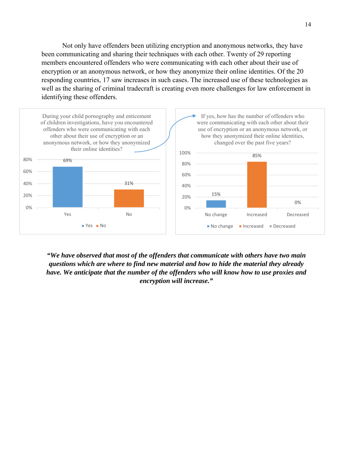Not only have offenders been utilizing encryption and anonymous networks, they have been communicating and sharing their techniques with each other. Twenty of 29 reporting members encountered offenders who were communicating with each other about their use of encryption or an anonymous network, or how they anonymize their online identities. Of the 20 responding countries, 17 saw increases in such cases. The increased use of these technologies as well as the sharing of criminal tradecraft is creating even more challenges for law enforcement in identifying these offenders.



*"We have observed that most of the offenders that communicate with others have two main questions which are where to find new material and how to hide the material they already have. We anticipate that the number of the offenders who will know how to use proxies and encryption will increase."*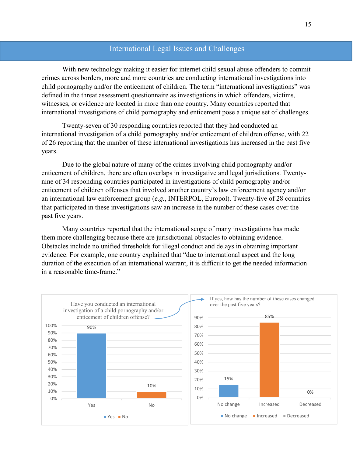#### International Legal Issues and Challenges

With new technology making it easier for internet child sexual abuse offenders to commit crimes across borders, more and more countries are conducting international investigations into child pornography and/or the enticement of children. The term "international investigations" was defined in the threat assessment questionnaire as investigations in which offenders, victims, witnesses, or evidence are located in more than one country. Many countries reported that international investigations of child pornography and enticement pose a unique set of challenges.

Twenty-seven of 30 responding countries reported that they had conducted an international investigation of a child pornography and/or enticement of children offense, with 22 of 26 reporting that the number of these international investigations has increased in the past five years.

Due to the global nature of many of the crimes involving child pornography and/or enticement of children, there are often overlaps in investigative and legal jurisdictions. Twentynine of 34 responding countries participated in investigations of child pornography and/or enticement of children offenses that involved another country's law enforcement agency and/or an international law enforcement group (*e.g.*, INTERPOL, Europol). Twenty-five of 28 countries that participated in these investigations saw an increase in the number of these cases over the past five years.

Many countries reported that the international scope of many investigations has made them more challenging because there are jurisdictional obstacles to obtaining evidence. Obstacles include no unified thresholds for illegal conduct and delays in obtaining important evidence. For example, one country explained that "due to international aspect and the long duration of the execution of an international warrant, it is difficult to get the needed information in a reasonable time-frame."

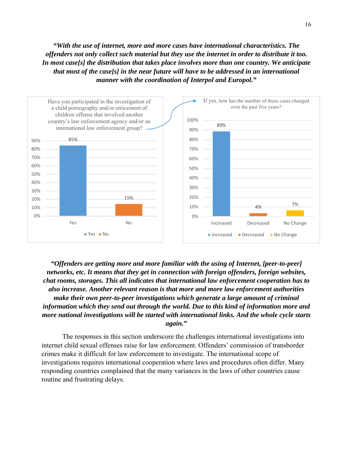*"With the use of internet, more and more cases have international characteristics. The offenders not only collect such material but they use the internet in order to distribute it too. In most case[s] the distribution that takes place involves more than one country. We anticipate that most of the case[s] in the near future will have to be addressed in an international manner with the coordination of Interpol and Europol."* 



*"Offenders are getting more and more familiar with the using of Internet, [peer-to-peer] networks, etc. It means that they get in connection with foreign offenders, foreign websites, chat rooms, storages. This all indicates that international law enforcement cooperation has to also increase. Another relevant reason is that more and more law enforcement authorities make their own peer-to-peer investigations which generate a large amount of criminal information which they send out through the world. Due to this kind of information more and more national investigations will be started with international links. And the whole cycle starts again."* 

The responses in this section underscore the challenges international investigations into internet child sexual offenses raise for law enforcement. Offenders' commission of transborder crimes make it difficult for law enforcement to investigate. The international scope of investigations requires international cooperation where laws and procedures often differ. Many responding countries complained that the many variances in the laws of other countries cause routine and frustrating delays.